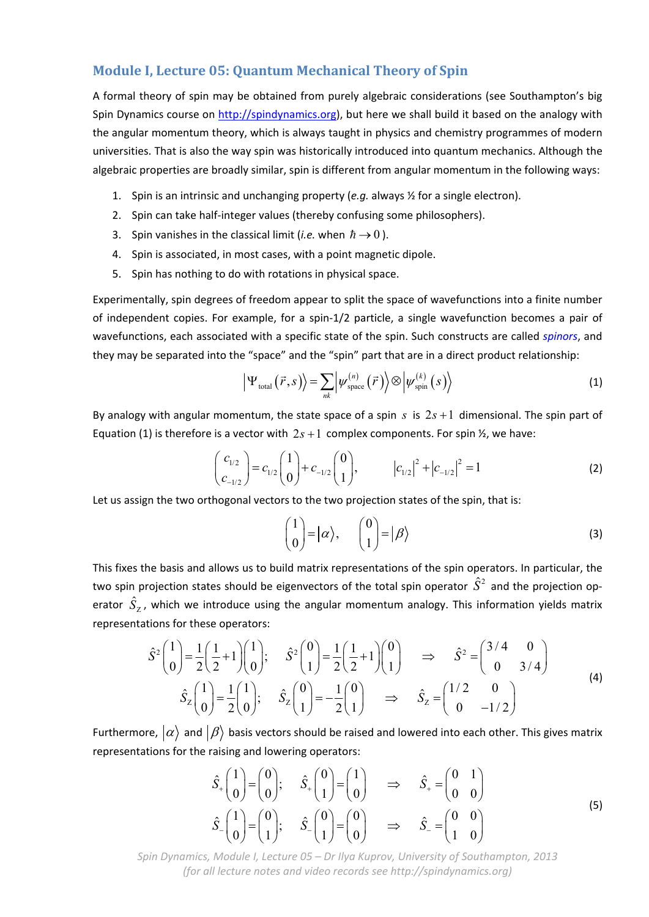# **Module I, Lecture 05: Quantum Mechanical Theory of Spin**

A formal theory of spin may be obtained from purely algebraic considerations (see Southampton's big Spin Dynamics course on http://spindynamics.org), but here we shall build it based on the analogy with the angular momentum theory, which is always taught in physics and chemistry programmes of modern universities. That is also the way spin was historically introduced into quantum mechanics. Although the algebraic properties are broadly similar, spin is different from angular momentum in the following ways:

- 1. Spin is an intrinsic and unchanging property (*e.g.* always ½ for a single electron).
- 2. Spin can take half-integer values (thereby confusing some philosophers).
- 3. Spin vanishes in the classical limit (*i.e.* when  $\hbar \rightarrow 0$ ).
- 4. Spin is associated, in most cases, with a point magnetic dipole.
- 5. Spin has nothing to do with rotations in physical space.

Experimentally, spin degrees of freedom appear to split the space of wavefunctions into a finite number of independent copies. For example, for a spin‐1/2 particle, a single wavefunction becomes a pair of wavefunctions, each associated with a specific state of the spin. Such constructs are called *spinors*, and they may be separated into the "space" and the "spin" part that are in a direct product relationship:

$$
\left| \Psi_{\text{total}}\left(\vec{r},s\right) \right\rangle = \sum_{nk} \left| \psi_{\text{space}}^{(n)}\left(\vec{r}\right) \right\rangle \otimes \left| \psi_{\text{spin}}^{(k)}\left(s\right) \right\rangle \tag{1}
$$

By analogy with angular momentum, the state space of a spin  $s$  is  $2s + 1$  dimensional. The spin part of Equation (1) is therefore is a vector with  $2s + 1$  complex components. For spin  $\frac{1}{2}$ , we have:

$$
\begin{pmatrix} c_{1/2} \\ c_{-1/2} \end{pmatrix} = c_{1/2} \begin{pmatrix} 1 \\ 0 \end{pmatrix} + c_{-1/2} \begin{pmatrix} 0 \\ 1 \end{pmatrix}, \qquad \left| c_{1/2} \right|^2 + \left| c_{-1/2} \right|^2 = 1 \qquad (2)
$$

Let us assign the two orthogonal vectors to the two projection states of the spin, that is:

$$
\begin{pmatrix} 1 \\ 0 \end{pmatrix} = |\alpha\rangle, \qquad \begin{pmatrix} 0 \\ 1 \end{pmatrix} = |\beta\rangle
$$
 (3)

This fixes the basis and allows us to build matrix representations of the spin operators. In particular, the two spin projection states should be eigenvectors of the total spin operator  $\hat{S}^2$  and the projection operator  $\hat{S}_{\mathrm{z}}$ , which we introduce using the angular momentum analogy. This information yields matrix representations for these operators:

$$
\hat{S}^{2}\begin{pmatrix} 1 \\ 0 \end{pmatrix} = \frac{1}{2} \begin{pmatrix} 1 \\ 2 \end{pmatrix} + 1 \begin{pmatrix} 1 \\ 0 \end{pmatrix}; \quad \hat{S}^{2}\begin{pmatrix} 0 \\ 1 \end{pmatrix} = \frac{1}{2} \begin{pmatrix} 1 \\ 2 \end{pmatrix} + 1 \begin{pmatrix} 0 \\ 1 \end{pmatrix} \implies \hat{S}^{2} = \begin{pmatrix} 3/4 & 0 \\ 0 & 3/4 \end{pmatrix}
$$
\n
$$
\hat{S}_{Z} \begin{pmatrix} 1 \\ 0 \end{pmatrix} = \frac{1}{2} \begin{pmatrix} 1 \\ 0 \end{pmatrix}; \quad \hat{S}_{Z} \begin{pmatrix} 0 \\ 1 \end{pmatrix} = -\frac{1}{2} \begin{pmatrix} 0 \\ 1 \end{pmatrix} \implies \hat{S}_{Z} = \begin{pmatrix} 1/2 & 0 \\ 0 & -1/2 \end{pmatrix}
$$
\n(4)

Furthermore,  $\ket{\alpha}$  and  $\ket{\beta}$  basis vectors should be raised and lowered into each other. This gives matrix representations for the raising and lowering operators:

$$
\hat{S}_{+}\begin{pmatrix} 1\\0 \end{pmatrix} = \begin{pmatrix} 0\\0 \end{pmatrix}; \quad \hat{S}_{+}\begin{pmatrix} 0\\1 \end{pmatrix} = \begin{pmatrix} 1\\0 \end{pmatrix} \Rightarrow \quad \hat{S}_{+} = \begin{pmatrix} 0 & 1\\0 & 0 \end{pmatrix}
$$
\n
$$
\hat{S}_{-}\begin{pmatrix} 1\\0 \end{pmatrix} = \begin{pmatrix} 0\\1 \end{pmatrix}; \quad \hat{S}_{-}\begin{pmatrix} 0\\1 \end{pmatrix} = \begin{pmatrix} 0\\0 \end{pmatrix} \Rightarrow \quad \hat{S}_{-} = \begin{pmatrix} 0 & 0\\1 & 0 \end{pmatrix}
$$
\n(5)

*Spin Dynamics, Module I, Lecture 05 – Dr Ilya Kuprov, University of Southampton, 2013 (for all lecture notes and video records see http://spindynamics.org)*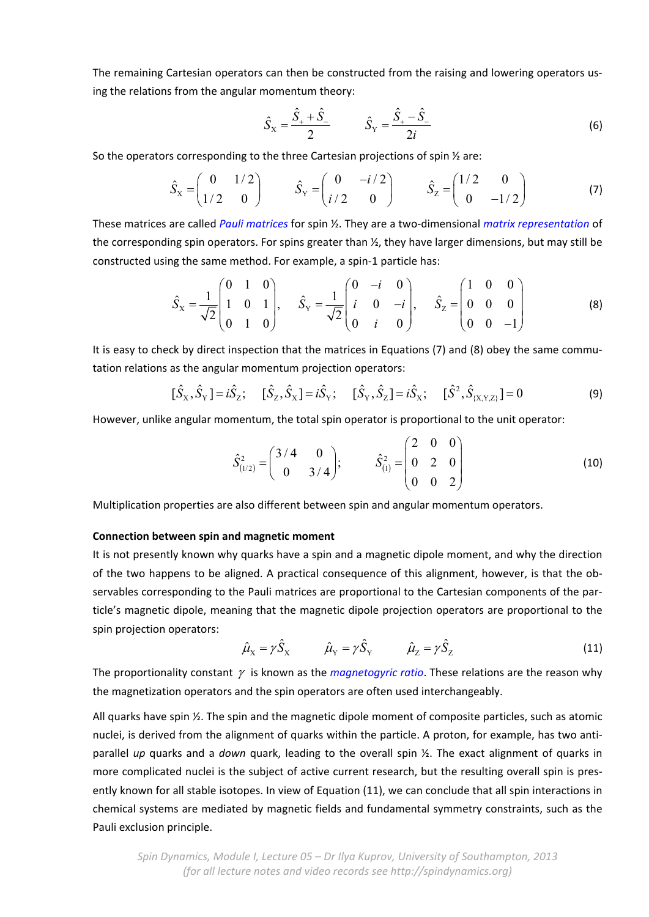The remaining Cartesian operators can then be constructed from the raising and lowering operators us‐ ing the relations from the angular momentum theory:

$$
\hat{S}_X = \frac{\hat{S}_+ + \hat{S}_-}{2} \qquad \hat{S}_Y = \frac{\hat{S}_+ - \hat{S}_-}{2i} \tag{6}
$$

So the operators corresponding to the three Cartesian projections of spin ½ are:

$$
\hat{S}_x = \begin{pmatrix} 0 & 1/2 \\ 1/2 & 0 \end{pmatrix} \qquad \hat{S}_y = \begin{pmatrix} 0 & -i/2 \\ i/2 & 0 \end{pmatrix} \qquad \hat{S}_z = \begin{pmatrix} 1/2 & 0 \\ 0 & -1/2 \end{pmatrix}
$$
 (7)

These matrices are called *Pauli matrices* for spin ½. They are a two‐dimensional *matrix representation* of the corresponding spin operators. For spins greater than  $\frac{1}{2}$ , they have larger dimensions, but may still be constructed using the same method. For example, a spin‐1 particle has:

$$
\hat{S}_X = \frac{1}{\sqrt{2}} \begin{pmatrix} 0 & 1 & 0 \\ 1 & 0 & 1 \\ 0 & 1 & 0 \end{pmatrix}, \quad \hat{S}_Y = \frac{1}{\sqrt{2}} \begin{pmatrix} 0 & -i & 0 \\ i & 0 & -i \\ 0 & i & 0 \end{pmatrix}, \quad \hat{S}_Z = \begin{pmatrix} 1 & 0 & 0 \\ 0 & 0 & 0 \\ 0 & 0 & -1 \end{pmatrix}
$$
 (8)

It is easy to check by direct inspection that the matrices in Equations (7) and (8) obey the same commutation relations as the angular momentum projection operators:

$$
[\hat{S}_X, \hat{S}_Y] = i\hat{S}_Z; \quad [\hat{S}_Z, \hat{S}_X] = i\hat{S}_Y; \quad [\hat{S}_Y, \hat{S}_Z] = i\hat{S}_X; \quad [\hat{S}^2, \hat{S}_{(X,Y,Z)}] = 0
$$
\n(9)

However, unlike angular momentum, the total spin operator is proportional to the unit operator:

$$
\hat{S}_{(1/2)}^2 = \begin{pmatrix} 3/4 & 0 \\ 0 & 3/4 \end{pmatrix}; \qquad \hat{S}_{(1)}^2 = \begin{pmatrix} 2 & 0 & 0 \\ 0 & 2 & 0 \\ 0 & 0 & 2 \end{pmatrix}
$$
 (10)

Multiplication properties are also different between spin and angular momentum operators.

### **Connection between spin and magnetic moment**

It is not presently known why quarks have a spin and a magnetic dipole moment, and why the direction of the two happens to be aligned. A practical consequence of this alignment, however, is that the ob‐ servables corresponding to the Pauli matrices are proportional to the Cartesian components of the particle's magnetic dipole, meaning that the magnetic dipole projection operators are proportional to the spin projection operators:

$$
\hat{\mu}_X = \gamma \hat{S}_X \qquad \hat{\mu}_Y = \gamma \hat{S}_Y \qquad \hat{\mu}_Z = \gamma \hat{S}_Z \qquad (11)
$$

The proportionality constant  $\gamma$  is known as the *magnetogyric ratio*. These relations are the reason why the magnetization operators and the spin operators are often used interchangeably.

All quarks have spin ½. The spin and the magnetic dipole moment of composite particles, such as atomic nuclei, is derived from the alignment of quarks within the particle. A proton, for example, has two anti‐ parallel *up* quarks and a *down* quark, leading to the overall spin ½. The exact alignment of quarks in more complicated nuclei is the subject of active current research, but the resulting overall spin is presently known for all stable isotopes. In view of Equation (11), we can conclude that all spin interactions in chemical systems are mediated by magnetic fields and fundamental symmetry constraints, such as the Pauli exclusion principle.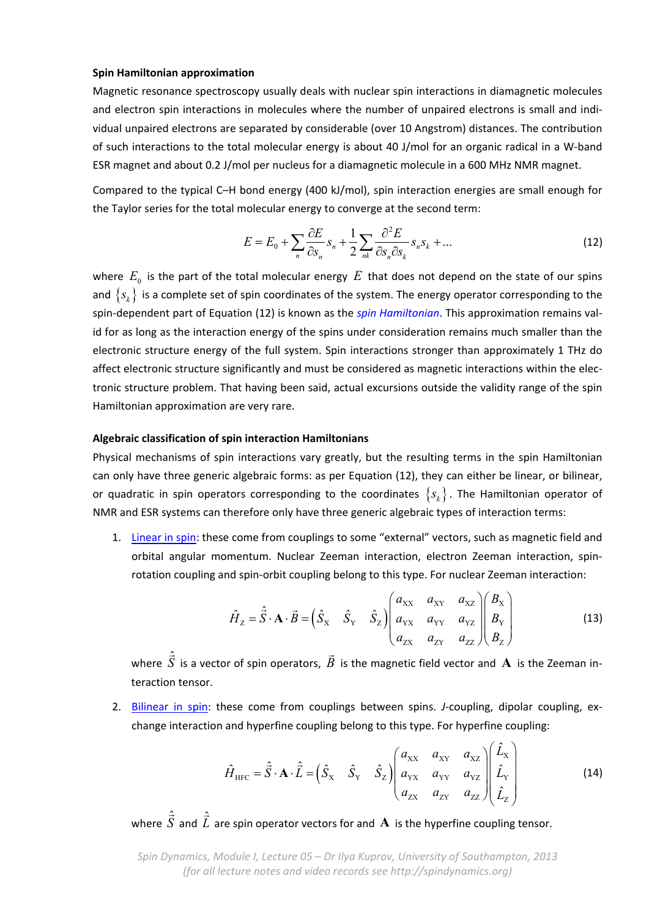### **Spin Hamiltonian approximation**

Magnetic resonance spectroscopy usually deals with nuclear spin interactions in diamagnetic molecules and electron spin interactions in molecules where the number of unpaired electrons is small and individual unpaired electrons are separated by considerable (over 10 Angstrom) distances. The contribution of such interactions to the total molecular energy is about 40 J/mol for an organic radical in a W‐band ESR magnet and about 0.2 J/mol per nucleus for a diamagnetic molecule in a 600 MHz NMR magnet.

Compared to the typical C–H bond energy (400 kJ/mol), spin interaction energies are small enough for the Taylor series for the total molecular energy to converge at the second term:

$$
E = E_0 + \sum_{n} \frac{\partial E}{\partial s_n} s_n + \frac{1}{2} \sum_{nk} \frac{\partial^2 E}{\partial s_n \partial s_k} s_n s_k + \dots
$$
 (12)

where  $E_0$  is the part of the total molecular energy  $E$  that does not depend on the state of our spins and  $\{s_k\}$  is a complete set of spin coordinates of the system. The energy operator corresponding to the spin‐dependent part of Equation (12) is known as the *spin Hamiltonian*. This approximation remains val‐ id for as long as the interaction energy of the spins under consideration remains much smaller than the electronic structure energy of the full system. Spin interactions stronger than approximately 1 THz do affect electronic structure significantly and must be considered as magnetic interactions within the elec‐ tronic structure problem. That having been said, actual excursions outside the validity range of the spin Hamiltonian approximation are very rare.

## **Algebraic classification of spin interaction Hamiltonians**

Physical mechanisms of spin interactions vary greatly, but the resulting terms in the spin Hamiltonian can only have three generic algebraic forms: as per Equation (12), they can either be linear, or bilinear, or quadratic in spin operators corresponding to the coordinates  $\{s_k\}$ . The Hamiltonian operator of NMR and ESR systems can therefore only have three generic algebraic types of interaction terms:

1. Linear in spin: these come from couplings to some "external" vectors, such as magnetic field and orbital angular momentum. Nuclear Zeeman interaction, electron Zeeman interaction, spin‐ rotation coupling and spin‐orbit coupling belong to this type. For nuclear Zeeman interaction:

$$
\hat{H}_z = \hat{\vec{S}} \cdot \mathbf{A} \cdot \vec{B} = \begin{pmatrix} \hat{S}_x & \hat{S}_y & \hat{S}_z \end{pmatrix} \begin{pmatrix} a_{xx} & a_{xy} & a_{xz} \\ a_{yx} & a_{yy} & a_{yz} \\ a_{zx} & a_{zy} & a_{zz} \end{pmatrix} \begin{pmatrix} B_x \\ B_y \\ B_z \end{pmatrix}
$$
(13)

where <sup>ˆ</sup> *S*  $\hat{=}$ is a vector of spin operators, *B* is the magnetic field vector and **A** is the Zeeman in‐ teraction tensor.

2. Bilinear in spin: these come from couplings between spins. *J*-coupling, dipolar coupling, exchange interaction and hyperfine coupling belong to this type. For hyperfine coupling:

$$
\hat{H}_{\text{HFC}} = \hat{\vec{S}} \cdot \mathbf{A} \cdot \hat{\vec{L}} = \begin{pmatrix} \hat{S}_{\text{x}} & \hat{S}_{\text{y}} & \hat{S}_{\text{z}} \end{pmatrix} \begin{pmatrix} a_{\text{xx}} & a_{\text{xy}} & a_{\text{xz}} \\ a_{\text{yx}} & a_{\text{yy}} & a_{\text{yz}} \\ a_{\text{zx}} & a_{\text{zy}} & a_{\text{zz}} \end{pmatrix} \begin{pmatrix} \hat{L}_{\text{x}} \\ \hat{L}_{\text{y}} \\ \hat{L}_{\text{z}} \end{pmatrix} \tag{14}
$$

where <sup>ˆ</sup> *S*  $\hat{\vec{S}}$  and  $\hat{\vec{L}}$  $\hat{=}$ are spin operator vectors for and **A** is the hyperfine coupling tensor.

*Spin Dynamics, Module I, Lecture 05 – Dr Ilya Kuprov, University of Southampton, 2013 (for all lecture notes and video records see http://spindynamics.org)*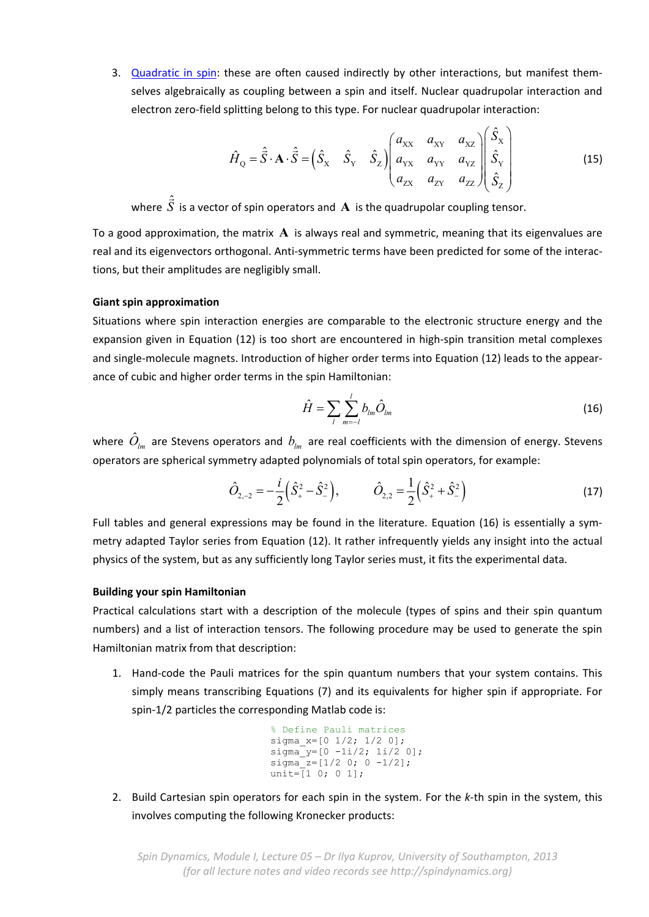3. Quadratic in spin: these are often caused indirectly by other interactions, but manifest themselves algebraically as coupling between a spin and itself. Nuclear quadrupolar interaction and electron zero-field splitting belong to this type. For nuclear quadrupolar interaction:

$$
\hat{H}_{Q} = \hat{\vec{S}} \cdot \mathbf{A} \cdot \hat{\vec{S}} = \begin{pmatrix} \hat{S}_{X} & \hat{S}_{Y} & \hat{S}_{Z} \end{pmatrix} \begin{pmatrix} a_{XX} & a_{XY} & a_{XZ} \\ a_{YX} & a_{YY} & a_{YZ} \\ a_{ZX} & a_{ZY} & a_{ZZ} \end{pmatrix} \begin{pmatrix} \hat{S}_{X} \\ \hat{S}_{Y} \\ \hat{S}_{Z} \end{pmatrix}
$$
(15)

ˆ

where <sup>ˆ</sup> *S*  $\hat{ }$ is a vector of spin operators and **A** is the quadrupolar coupling tensor.

To a good approximation, the matrix **A** is always real and symmetric, meaning that its eigenvalues are real and its eigenvectors orthogonal. Anti‐symmetric terms have been predicted for some of the interac‐ tions, but their amplitudes are negligibly small.

# **Giant spin approximation**

Situations where spin interaction energies are comparable to the electronic structure energy and the expansion given in Equation (12) is too short are encountered in high-spin transition metal complexes and single‐molecule magnets. Introduction of higher order terms into Equation (12) leads to the appear‐ ance of cubic and higher order terms in the spin Hamiltonian:

$$
\hat{H} = \sum_{l} \sum_{m=-l}^{l} b_{lm} \hat{O}_{lm} \tag{16}
$$

where  $O_{lm}$  are Stevens operators and  $b_{lm}$  are real coefficients with the dimension of energy. Stevens operators are spherical symmetry adapted polynomials of total spin operators, for example:

$$
\hat{O}_{2,-2} = -\frac{i}{2} \left( \hat{S}_+^2 - \hat{S}_-^2 \right), \qquad \hat{O}_{2,2} = \frac{1}{2} \left( \hat{S}_+^2 + \hat{S}_-^2 \right)
$$
(17)

Full tables and general expressions may be found in the literature. Equation (16) is essentially a symmetry adapted Taylor series from Equation (12). It rather infrequently yields any insight into the actual physics of the system, but as any sufficiently long Taylor series must, it fits the experimental data.

## **Building your spin Hamiltonian**

Practical calculations start with a description of the molecule (types of spins and their spin quantum numbers) and a list of interaction tensors. The following procedure may be used to generate the spin Hamiltonian matrix from that description:

1. Hand-code the Pauli matrices for the spin quantum numbers that your system contains. This simply means transcribing Equations (7) and its equivalents for higher spin if appropriate. For spin‐1/2 particles the corresponding Matlab code is:

```
% Define Pauli matrices
sigma_x=[0 1/2; 1/2 0];
signa_y=[0 -1i/2; 1i/2 0];signa_2 = [1/2 \ 0; \ 0 \ -1/2];unit=\bar{1} 0; 0 1];
```
2. Build Cartesian spin operators for each spin in the system. For the *k*‐th spin in the system, this involves computing the following Kronecker products: